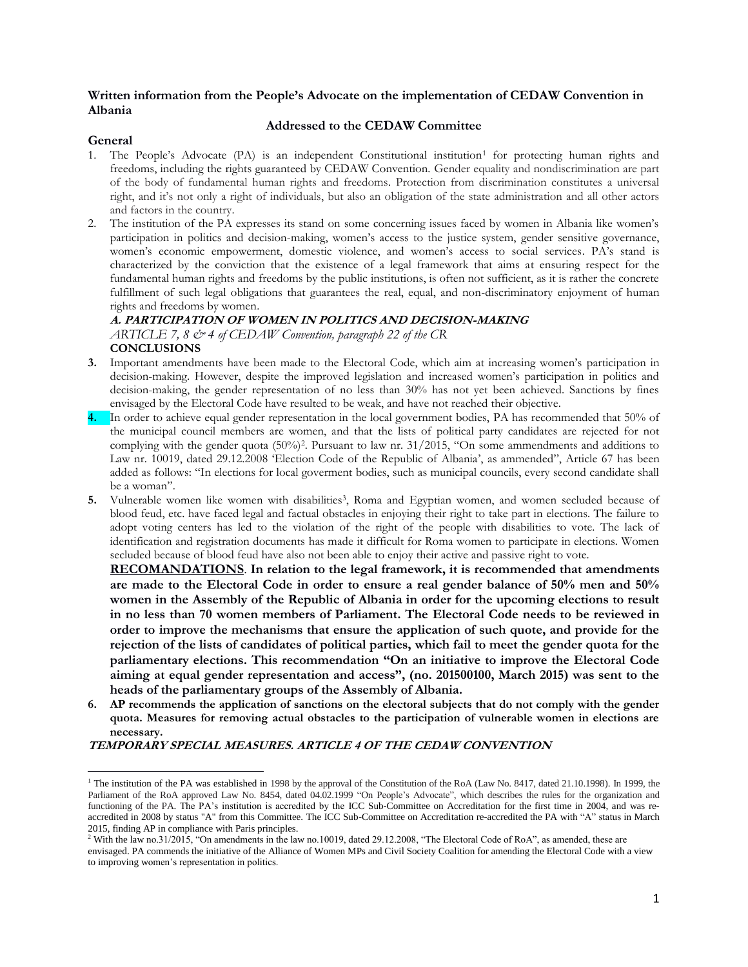#### **Written information from the People's Advocate on the implementation of CEDAW Convention in Albania**

#### **Addressed to the CEDAW Committee**

#### **General**

- 1. The People's Advocate (PA) is an independent Constitutional institution<sup>1</sup> for protecting human rights and freedoms, including the rights guaranteed by CEDAW Convention. Gender equality and nondiscrimination are part of the body of fundamental human rights and freedoms. Protection from discrimination constitutes a universal right, and it's not only a right of individuals, but also an obligation of the state administration and all other actors and factors in the country.
- 2. The institution of the PA expresses its stand on some concerning issues faced by women in Albania like women's participation in politics and decision-making, women's access to the justice system, gender sensitive governance, women's economic empowerment, domestic violence, and women's access to social services. PA's stand is characterized by the conviction that the existence of a legal framework that aims at ensuring respect for the fundamental human rights and freedoms by the public institutions, is often not sufficient, as it is rather the concrete fulfillment of such legal obligations that guarantees the real, equal, and non-discriminatory enjoyment of human rights and freedoms by women.

## **A. PARTICIPATION OF WOMEN IN POLITICS AND DECISION-MAKING** *ARTICLE 7, 8 & 4 of CEDAW Convention, paragraph 22 of the CR* **CONCLUSIONS**

- **3.** Important amendments have been made to the Electoral Code, which aim at increasing women's participation in decision-making. However, despite the improved legislation and increased women's participation in politics and decision-making, the gender representation of no less than 30% has not yet been achieved. Sanctions by fines envisaged by the Electoral Code have resulted to be weak, and have not reached their objective.
- **4.** In order to achieve equal gender representation in the local government bodies, PA has recommended that 50% of the municipal council members are women, and that the lists of political party candidates are rejected for not complying with the gender quota (50%)<sup>2</sup>. Pursuant to law nr. 31/2015, "On some ammendments and additions to Law nr. 10019, dated 29.12.2008 'Election Code of the Republic of Albania', as ammended", Article 67 has been added as follows: "In elections for local goverment bodies, such as municipal councils, every second candidate shall be a woman".
- **5.** Vulnerable women like women with disabilities<sup>3</sup>, Roma and Egyptian women, and women secluded because of blood feud, etc. have faced legal and factual obstacles in enjoying their right to take part in elections. The failure to adopt voting centers has led to the violation of the right of the people with disabilities to vote. The lack of identification and registration documents has made it difficult for Roma women to participate in elections. Women secluded because of blood feud have also not been able to enjoy their active and passive right to vote.

**RECOMANDATIONS**. **In relation to the legal framework, it is recommended that amendments are made to the Electoral Code in order to ensure a real gender balance of 50% men and 50% women in the Assembly of the Republic of Albania in order for the upcoming elections to result in no less than 70 women members of Parliament. The Electoral Code needs to be reviewed in order to improve the mechanisms that ensure the application of such quote, and provide for the rejection of the lists of candidates of political parties, which fail to meet the gender quota for the parliamentary elections. This recommendation "On an initiative to improve the Electoral Code aiming at equal gender representation and access", (no. 201500100, March 2015) was sent to the heads of the parliamentary groups of the Assembly of Albania.**

**6. AP recommends the application of sanctions on the electoral subjects that do not comply with the gender quota. Measures for removing actual obstacles to the participation of vulnerable women in elections are necessary.** 

#### **TEMPORARY SPECIAL MEASURES. ARTICLE 4 OF THE CEDAW CONVENTION**

 $\overline{\phantom{a}}$ <sup>1</sup> The institution of the PA was established in 1998 by the approval of the Constitution of the RoA (Law No. 8417, dated 21.10.1998). In 1999, the Parliament of the RoA approved Law No. 8454, dated 04.02.1999 "On People's Advocate", which describes the rules for the organization and functioning of the PA. The PA's institution is accredited by the ICC Sub-Committee on Accreditation for the first time in 2004, and was reaccredited in 2008 by status "A" from this Committee. The ICC Sub-Committee on Accreditation re-accredited the PA with "A" status in March 2015, finding AP in compliance with Paris principles.

<sup>&</sup>lt;sup>2</sup> With the law no.31/2015, "On amendments in the law no.10019, dated 29.12.2008, "The Electoral Code of RoA", as amended, these are envisaged. PA commends the initiative of the Alliance of Women MPs and Civil Society Coalition for amending the Electoral Code with a view to improving women's representation in politics.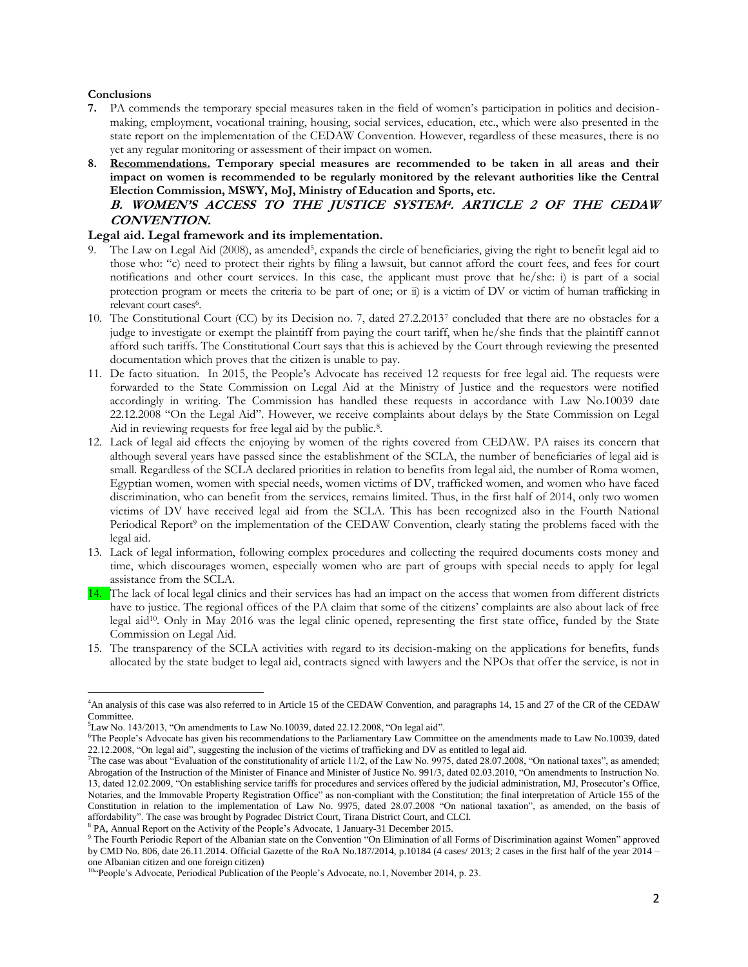#### **Conclusions**

- **7.** PA commends the temporary special measures taken in the field of women's participation in politics and decisionmaking, employment, vocational training, housing, social services, education, etc., which were also presented in the state report on the implementation of the CEDAW Convention. However, regardless of these measures, there is no yet any regular monitoring or assessment of their impact on women.
- **8. Recommendations. Temporary special measures are recommended to be taken in all areas and their impact on women is recommended to be regularly monitored by the relevant authorities like the Central Election Commission, MSWY, MoJ, Ministry of Education and Sports, etc. B. WOMEN'S ACCESS TO THE JUSTICE SYSTEM<sup>4</sup> . ARTICLE 2 OF THE CEDAW CONVENTION.**

#### **Legal aid. Legal framework and its implementation.**

- 9. The Law on Legal Aid (2008), as amended<sup>5</sup>, expands the circle of beneficiaries, giving the right to benefit legal aid to those who: "c) need to protect their rights by filing a lawsuit, but cannot afford the court fees, and fees for court notifications and other court services. In this case, the applicant must prove that he/she: i) is part of a social protection program or meets the criteria to be part of one; or ii) is a victim of DV or victim of human trafficking in relevant court cases<sup>6</sup>.
- 10. The Constitutional Court (CC) by its Decision no. 7, dated 27.2.2013<sup>7</sup> concluded that there are no obstacles for a judge to investigate or exempt the plaintiff from paying the court tariff, when he/she finds that the plaintiff cannot afford such tariffs. The Constitutional Court says that this is achieved by the Court through reviewing the presented documentation which proves that the citizen is unable to pay.
- 11. De facto situation. In 2015, the People's Advocate has received 12 requests for free legal aid. The requests were forwarded to the State Commission on Legal Aid at the Ministry of Justice and the requestors were notified accordingly in writing. The Commission has handled these requests in accordance with Law No.10039 date 22.12.2008 "On the Legal Aid". However, we receive complaints about delays by the State Commission on Legal Aid in reviewing requests for free legal aid by the public.<sup>8</sup>.
- 12. Lack of legal aid effects the enjoying by women of the rights covered from CEDAW. PA raises its concern that although several years have passed since the establishment of the SCLA, the number of beneficiaries of legal aid is small. Regardless of the SCLA declared priorities in relation to benefits from legal aid, the number of Roma women, Egyptian women, women with special needs, women victims of DV, trafficked women, and women who have faced discrimination, who can benefit from the services, remains limited. Thus, in the first half of 2014, only two women victims of DV have received legal aid from the SCLA. This has been recognized also in the Fourth National Periodical Report<sup>9</sup> on the implementation of the CEDAW Convention, clearly stating the problems faced with the legal aid.
- 13. Lack of legal information, following complex procedures and collecting the required documents costs money and time, which discourages women, especially women who are part of groups with special needs to apply for legal assistance from the SCLA.
- 14. The lack of local legal clinics and their services has had an impact on the access that women from different districts have to justice. The regional offices of the PA claim that some of the citizens' complaints are also about lack of free legal aid<sup>10</sup>. Only in May 2016 was the legal clinic opened, representing the first state office, funded by the State Commission on Legal Aid.
- 15. The transparency of the SCLA activities with regard to its decision-making on the applications for benefits, funds allocated by the state budget to legal aid, contracts signed with lawyers and the NPOs that offer the service, is not in

 $\overline{\phantom{a}}$ <sup>4</sup>An analysis of this case was also referred to in Article 15 of the CEDAW Convention, and paragraphs 14, 15 and 27 of the CR of the CEDAW Committee.

 ${}^{5}$ Law No. 143/2013, "On amendments to Law No.10039, dated 22.12.2008, "On legal aid".

<sup>6</sup>The People's Advocate has given his recommendations to the Parliamentary Law Committee on the amendments made to Law No.10039, dated 22.12.2008, "On legal aid", suggesting the inclusion of the victims of trafficking and DV as entitled to legal aid.

The case was about "Evaluation of the constitutionality of article  $11/2$ , of the Law No. 9975, dated 28.07.2008, "On national taxes", as amended; Abrogation of the Instruction of the Minister of Finance and Minister of Justice No. 991/3, dated 02.03.2010, "On amendments to Instruction No. 13, dated 12.02.2009, "On establishing service tariffs for procedures and services offered by the judicial administration, MJ, Prosecutor's Office, Notaries, and the Immovable Property Registration Office" as non-compliant with the Constitution; the final interpretation of Article 155 of the Constitution in relation to the implementation of Law No. 9975, dated 28.07.2008 "On national taxation", as amended, on the basis of affordability". The case was brought by Pogradec District Court, Tirana District Court, and CLCI.

<sup>&</sup>lt;sup>8</sup> PA, Annual Report on the Activity of the People's Advocate, 1 January-31 December 2015.

<sup>&</sup>lt;sup>9</sup> The Fourth Periodic Report of the Albanian state on the Convention "On Elimination of all Forms of Discrimination against Women" approved by CMD No. 806, date 26.11.2014. Official Gazette of the RoA No.187/2014, p.10184 (4 cases/ 2013; 2 cases in the first half of the year 2014 – one Albanian citizen and one foreign citizen)

<sup>&</sup>lt;sup>10"</sup>People's Advocate, Periodical Publication of the People's Advocate, no.1, November 2014, p. 23.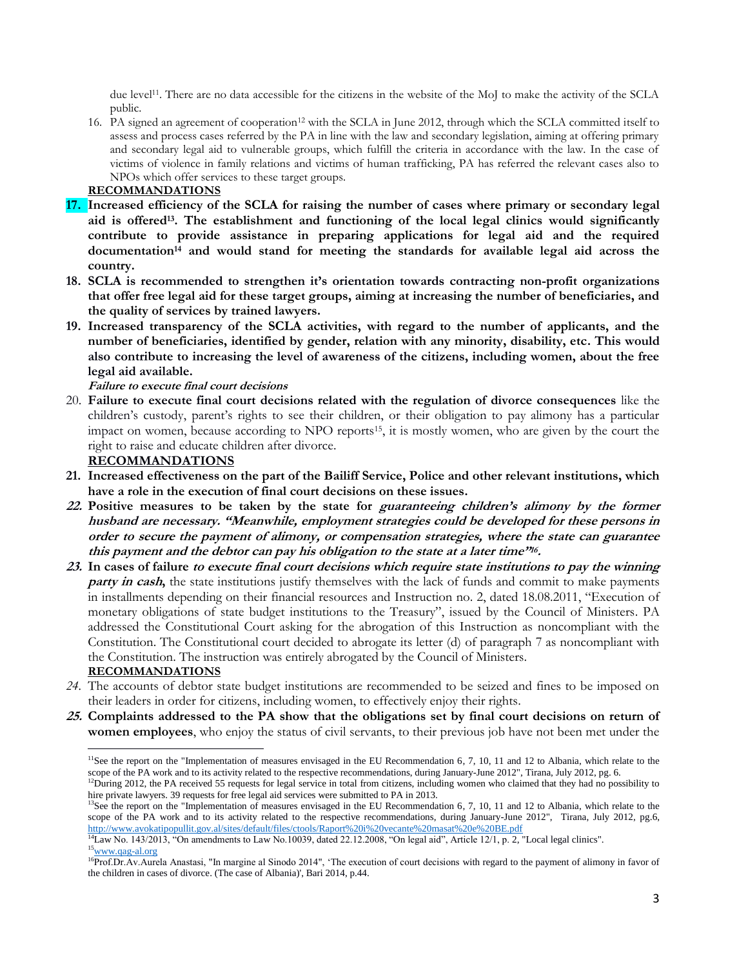due level<sup>11</sup>. There are no data accessible for the citizens in the website of the MoJ to make the activity of the SCLA public.

16. PA signed an agreement of cooperation<sup>12</sup> with the SCLA in June 2012, through which the SCLA committed itself to assess and process cases referred by the PA in line with the law and secondary legislation, aiming at offering primary and secondary legal aid to vulnerable groups, which fulfill the criteria in accordance with the law. In the case of victims of violence in family relations and victims of human trafficking, PA has referred the relevant cases also to NPOs which offer services to these target groups.

### **RECOMMANDATIONS**

- **17. Increased efficiency of the SCLA for raising the number of cases where primary or secondary legal aid is offered<sup>13</sup> . The establishment and functioning of the local legal clinics would significantly contribute to provide assistance in preparing applications for legal aid and the required documentation<sup>14</sup> and would stand for meeting the standards for available legal aid across the country.**
- **18. SCLA is recommended to strengthen it's orientation towards contracting non-profit organizations that offer free legal aid for these target groups, aiming at increasing the number of beneficiaries, and the quality of services by trained lawyers.**
- **19. Increased transparency of the SCLA activities, with regard to the number of applicants, and the number of beneficiaries, identified by gender, relation with any minority, disability, etc. This would also contribute to increasing the level of awareness of the citizens, including women, about the free legal aid available.**

**Failure to execute final court decisions**

20. **Failure to execute final court decisions related with the regulation of divorce consequences** like the children's custody, parent's rights to see their children, or their obligation to pay alimony has a particular impact on women, because according to NPO reports15, it is mostly women, who are given by the court the right to raise and educate children after divorce.

### **RECOMMANDATIONS**

- **21. Increased effectiveness on the part of the Bailiff Service, Police and other relevant institutions, which have a role in the execution of final court decisions on these issues.**
- **22. Positive measures to be taken by the state for guaranteeing children's alimony by the former husband are necessary. "Meanwhile, employment strategies could be developed for these persons in order to secure the payment of alimony, or compensation strategies, where the state can guarantee this payment and the debtor can pay his obligation to the state at a later time"<sup>16</sup> .**
- **23. In cases of failure to execute final court decisions which require state institutions to pay the winning party in cash,** the state institutions justify themselves with the lack of funds and commit to make payments in installments depending on their financial resources and Instruction no. 2, dated 18.08.2011, "Execution of monetary obligations of state budget institutions to the Treasury", issued by the Council of Ministers. PA addressed the Constitutional Court asking for the abrogation of this Instruction as noncompliant with the Constitution. The Constitutional court decided to abrogate its letter (d) of paragraph 7 as noncompliant with the Constitution. The instruction was entirely abrogated by the Council of Ministers.

## **RECOMMANDATIONS**

 $\overline{\phantom{a}}$ 

- *24.* The accounts of debtor state budget institutions are recommended to be seized and fines to be imposed on their leaders in order for citizens, including women, to effectively enjoy their rights.
- **25. Complaints addressed to the PA show that the obligations set by final court decisions on return of women employees**, who enjoy the status of civil servants, to their previous job have not been met under the

<sup>&</sup>lt;sup>11</sup>See the report on the "Implementation of measures envisaged in the EU Recommendation 6, 7, 10, 11 and 12 to Albania, which relate to the scope of the PA work and to its activity related to the respective recommendations, during January-June 2012", Tirana, July 2012, pg. 6.  $12$ During 2012, the PA received 55 requests for legal service in total from citizens, including women who claimed that they had no possibility to

hire private lawyers. 39 requests for free legal aid services were submitted to PA in 2013.

 $13$ See the report on the "Implementation of measures envisaged in the EU Recommendation 6, 7, 10, 11 and 12 to Albania, which relate to the scope of the PA work and to its activity related to the respective recommendations, during January-June 2012", Tirana, July 2012, pg.6, <http://www.avokatipopullit.gov.al/sites/default/files/ctools/Raport%20i%20vecante%20masat%20e%20BE.pdf>

 $14$ Law No. 143/2013, "On amendments to Law No.10039, dated 22.12.2008, "On legal aid", Article 12/1, p. 2, "Local legal clinics". <sup>15</sup>[www.qag-al.org](http://www.qag-al.org/)

<sup>&</sup>lt;sup>16</sup>Prof.Dr.Av.Aurela Anastasi, "In margine al Sinodo 2014", 'The execution of court decisions with regard to the payment of alimony in favor of the children in cases of divorce. (The case of Albania)', Bari 2014, p.44.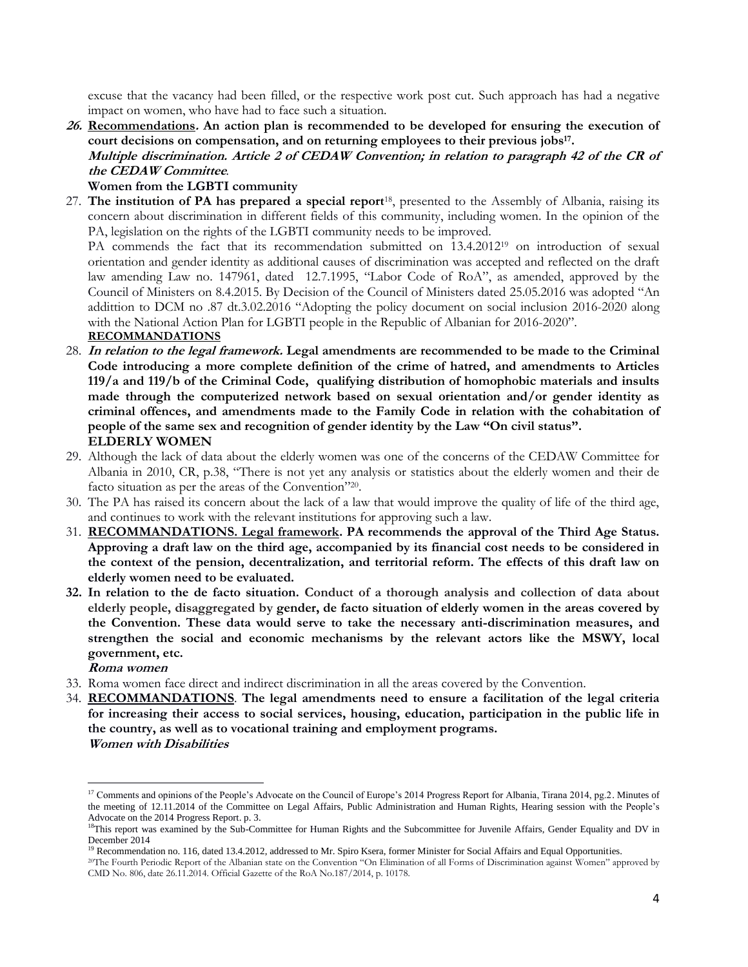excuse that the vacancy had been filled, or the respective work post cut. Such approach has had a negative impact on women, who have had to face such a situation.

**26. Recommendations. An action plan is recommended to be developed for ensuring the execution of court decisions on compensation, and on returning employees to their previous jobs<sup>17</sup> . Multiple discrimination. Article 2 of CEDAW Convention; in relation to paragraph 42 of the CR of the CEDAW Committee***.*

## **Women from the LGBTI community**

27. **The institution of PA has prepared a special report**18, presented to the Assembly of Albania, raising its concern about discrimination in different fields of this community, including women. In the opinion of the PA, legislation on the rights of the LGBTI community needs to be improved.

PA commends the fact that its recommendation submitted on 13.4.2012<sup>19</sup> on introduction of sexual orientation and gender identity as additional causes of discrimination was accepted and reflected on the draft law amending Law no. 147961, dated 12.7.1995, "Labor Code of RoA", as amended, approved by the Council of Ministers on 8.4.2015. By Decision of the Council of Ministers dated 25.05.2016 was adopted "An addittion to DCM no .87 dt.3.02.2016 "Adopting the policy document on social inclusion 2016-2020 along with the National Action Plan for LGBTI people in the Republic of Albanian for 2016-2020".

## **RECOMMANDATIONS**

- 28. **In relation to the legal framework. Legal amendments are recommended to be made to the Criminal Code introducing a more complete definition of the crime of hatred, and amendments to Articles 119/a and 119/b of the Criminal Code, qualifying distribution of homophobic materials and insults made through the computerized network based on sexual orientation and/or gender identity as criminal offences, and amendments made to the Family Code in relation with the cohabitation of people of the same sex and recognition of gender identity by the Law "On civil status". ELDERLY WOMEN**
- 29. Although the lack of data about the elderly women was one of the concerns of the CEDAW Committee for Albania in 2010, CR, p.38, "There is not yet any analysis or statistics about the elderly women and their de facto situation as per the areas of the Convention"<sup>20</sup>.
- 30. The PA has raised its concern about the lack of a law that would improve the quality of life of the third age, and continues to work with the relevant institutions for approving such a law.
- 31. **RECOMMANDATIONS. Legal framework. PA recommends the approval of the Third Age Status. Approving a draft law on the third age, accompanied by its financial cost needs to be considered in the context of the pension, decentralization, and territorial reform. The effects of this draft law on elderly women need to be evaluated.**
- **32. In relation to the de facto situation. Conduct of a thorough analysis and collection of data about elderly people, disaggregated by gender, de facto situation of elderly women in the areas covered by the Convention. These data would serve to take the necessary anti-discrimination measures, and strengthen the social and economic mechanisms by the relevant actors like the MSWY, local government, etc.**

**Roma women** 

 $\overline{a}$ 

- 33. Roma women face direct and indirect discrimination in all the areas covered by the Convention.
- 34. **RECOMMANDATIONS**. **The legal amendments need to ensure a facilitation of the legal criteria for increasing their access to social services, housing, education, participation in the public life in the country, as well as to vocational training and employment programs. Women with Disabilities**

<sup>&</sup>lt;sup>17</sup> Comments and opinions of the People's Advocate on the Council of Europe's 2014 Progress Report for Albania, Tirana 2014, pg.2. Minutes of the meeting of 12.11.2014 of the Committee on Legal Affairs, Public Administration and Human Rights, Hearing session with the People's Advocate on the 2014 Progress Report. p. 3.

<sup>&</sup>lt;sup>18</sup>This report was examined by the Sub-Committee for Human Rights and the Subcommittee for Juvenile Affairs, Gender Equality and DV in December 2014

 $19$  Recommendation no. 116, dated 13.4.2012, addressed to Mr. Spiro Ksera, former Minister for Social Affairs and Equal Opportunities.

<sup>20</sup>The Fourth Periodic Report of the Albanian state on the Convention "On Elimination of all Forms of Discrimination against Women" approved by CMD No. 806, date 26.11.2014. Official Gazette of the RoA No.187/2014, p. 10178.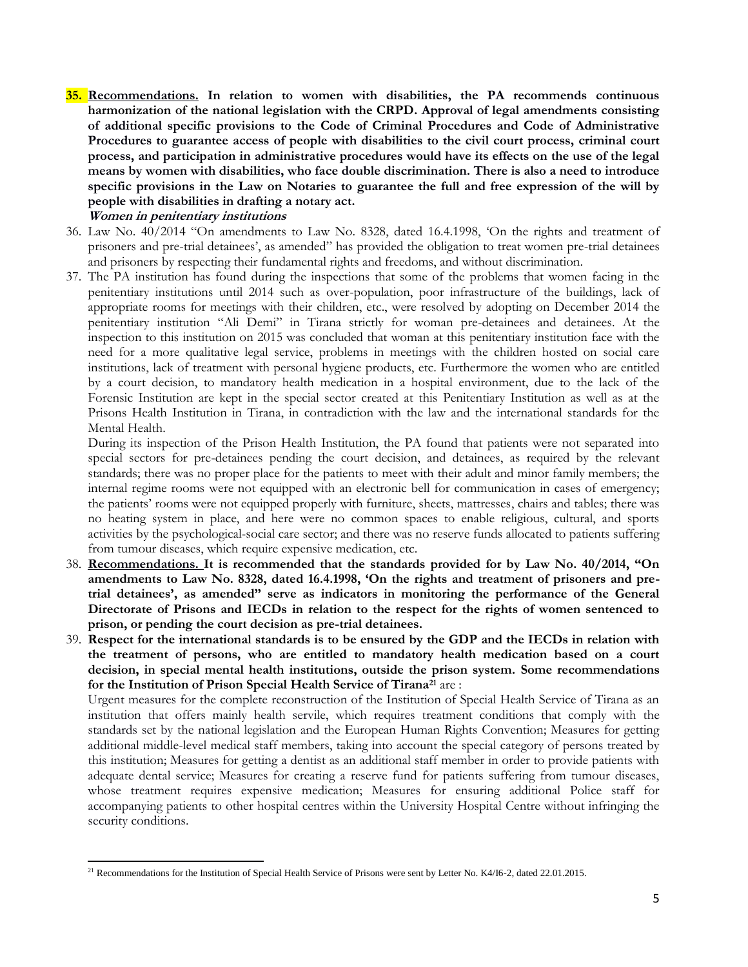**35. Recommendations. In relation to women with disabilities, the PA recommends continuous harmonization of the national legislation with the CRPD. Approval of legal amendments consisting of additional specific provisions to the Code of Criminal Procedures and Code of Administrative Procedures to guarantee access of people with disabilities to the civil court process, criminal court process, and participation in administrative procedures would have its effects on the use of the legal means by women with disabilities, who face double discrimination. There is also a need to introduce specific provisions in the Law on Notaries to guarantee the full and free expression of the will by people with disabilities in drafting a notary act.** 

## **Women in penitentiary institutions**

- 36. Law No. 40/2014 "On amendments to Law No. 8328, dated 16.4.1998, 'On the rights and treatment of prisoners and pre-trial detainees', as amended" has provided the obligation to treat women pre-trial detainees and prisoners by respecting their fundamental rights and freedoms, and without discrimination.
- 37. The PA institution has found during the inspections that some of the problems that women facing in the penitentiary institutions until 2014 such as over-population, poor infrastructure of the buildings, lack of appropriate rooms for meetings with their children, etc., were resolved by adopting on December 2014 the penitentiary institution "Ali Demi" in Tirana strictly for woman pre-detainees and detainees. At the inspection to this institution on 2015 was concluded that woman at this penitentiary institution face with the need for a more qualitative legal service, problems in meetings with the children hosted on social care institutions, lack of treatment with personal hygiene products, etc. Furthermore the women who are entitled by a court decision, to mandatory health medication in a hospital environment, due to the lack of the Forensic Institution are kept in the special sector created at this Penitentiary Institution as well as at the Prisons Health Institution in Tirana, in contradiction with the law and the international standards for the Mental Health.

During its inspection of the Prison Health Institution, the PA found that patients were not separated into special sectors for pre-detainees pending the court decision, and detainees, as required by the relevant standards; there was no proper place for the patients to meet with their adult and minor family members; the internal regime rooms were not equipped with an electronic bell for communication in cases of emergency; the patients' rooms were not equipped properly with furniture, sheets, mattresses, chairs and tables; there was no heating system in place, and here were no common spaces to enable religious, cultural, and sports activities by the psychological-social care sector; and there was no reserve funds allocated to patients suffering from tumour diseases, which require expensive medication, etc.

- 38. **Recommendations. It is recommended that the standards provided for by Law No. 40/2014, "On amendments to Law No. 8328, dated 16.4.1998, 'On the rights and treatment of prisoners and pretrial detainees', as amended" serve as indicators in monitoring the performance of the General Directorate of Prisons and IECDs in relation to the respect for the rights of women sentenced to prison, or pending the court decision as pre-trial detainees.**
- 39. **Respect for the international standards is to be ensured by the GDP and the IECDs in relation with the treatment of persons, who are entitled to mandatory health medication based on a court decision, in special mental health institutions, outside the prison system. Some recommendations for the Institution of Prison Special Health Service of Tirana<sup>21</sup>** are :

Urgent measures for the complete reconstruction of the Institution of Special Health Service of Tirana as an institution that offers mainly health servile, which requires treatment conditions that comply with the standards set by the national legislation and the European Human Rights Convention; Measures for getting additional middle-level medical staff members, taking into account the special category of persons treated by this institution; Measures for getting a dentist as an additional staff member in order to provide patients with adequate dental service; Measures for creating a reserve fund for patients suffering from tumour diseases, whose treatment requires expensive medication; Measures for ensuring additional Police staff for accompanying patients to other hospital centres within the University Hospital Centre without infringing the security conditions.

 $\overline{\phantom{a}}$ <sup>21</sup> Recommendations for the Institution of Special Health Service of Prisons were sent by Letter No. K4/I6-2, dated 22.01.2015.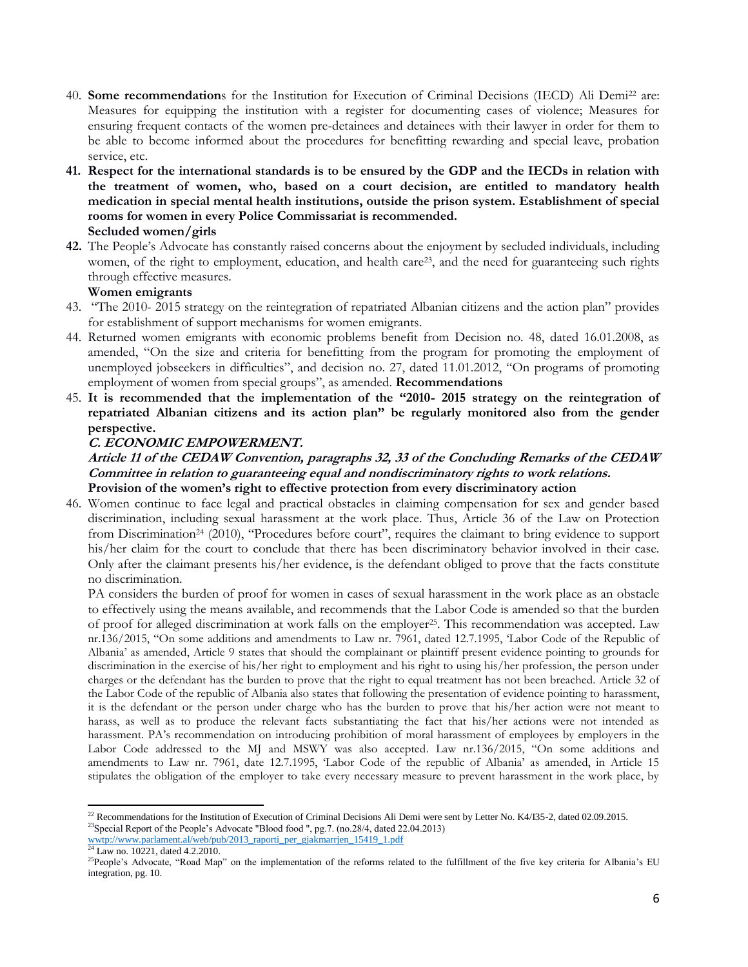- 40. **Some recommendation**s for the Institution for Execution of Criminal Decisions (IECD) Ali Demi<sup>22</sup> are: Measures for equipping the institution with a register for documenting cases of violence; Measures for ensuring frequent contacts of the women pre-detainees and detainees with their lawyer in order for them to be able to become informed about the procedures for benefitting rewarding and special leave, probation service, etc.
- **41. Respect for the international standards is to be ensured by the GDP and the IECDs in relation with the treatment of women, who, based on a court decision, are entitled to mandatory health medication in special mental health institutions, outside the prison system. Establishment of special rooms for women in every Police Commissariat is recommended. Secluded women/girls**
- **42.** The People's Advocate has constantly raised concerns about the enjoyment by secluded individuals, including women, of the right to employment, education, and health care<sup>23</sup>, and the need for guaranteeing such rights through effective measures.

### **Women emigrants**

- 43. "The 2010- 2015 strategy on the reintegration of repatriated Albanian citizens and the action plan" provides for establishment of support mechanisms for women emigrants.
- 44. Returned women emigrants with economic problems benefit from Decision no. 48, dated 16.01.2008, as amended, "On the size and criteria for benefitting from the program for promoting the employment of unemployed jobseekers in difficulties", and decision no. 27, dated 11.01.2012, "On programs of promoting employment of women from special groups", as amended. **Recommendations**
- 45. **It is recommended that the implementation of the "2010- 2015 strategy on the reintegration of repatriated Albanian citizens and its action plan" be regularly monitored also from the gender perspective.**

#### **C. ECONOMIC EMPOWERMENT.**

### **Article 11 of the CEDAW Convention, paragraphs 32, 33 of the Concluding Remarks of the CEDAW Committee in relation to guaranteeing equal and nondiscriminatory rights to work relations. Provision of the women's right to effective protection from every discriminatory action**

46. Women continue to face legal and practical obstacles in claiming compensation for sex and gender based discrimination, including sexual harassment at the work place. Thus, Article 36 of the Law on Protection from Discrimination<sup>24</sup> (2010), "Procedures before court", requires the claimant to bring evidence to support his/her claim for the court to conclude that there has been discriminatory behavior involved in their case. Only after the claimant presents his/her evidence, is the defendant obliged to prove that the facts constitute no discrimination.

PA considers the burden of proof for women in cases of sexual harassment in the work place as an obstacle to effectively using the means available, and recommends that the Labor Code is amended so that the burden of proof for alleged discrimination at work falls on the employer25. This recommendation was accepted. Law nr.136/2015, "On some additions and amendments to Law nr. 7961, dated 12.7.1995, 'Labor Code of the Republic of Albania' as amended, Article 9 states that should the complainant or plaintiff present evidence pointing to grounds for discrimination in the exercise of his/her right to employment and his right to using his/her profession, the person under charges or the defendant has the burden to prove that the right to equal treatment has not been breached. Article 32 of the Labor Code of the republic of Albania also states that following the presentation of evidence pointing to harassment, it is the defendant or the person under charge who has the burden to prove that his/her action were not meant to harass, as well as to produce the relevant facts substantiating the fact that his/her actions were not intended as harassment. PA's recommendation on introducing prohibition of moral harassment of employees by employers in the Labor Code addressed to the MJ and MSWY was also accepted. Law nr.136/2015, "On some additions and amendments to Law nr. 7961, date 12.7.1995, 'Labor Code of the republic of Albania' as amended, in Article 15 stipulates the obligation of the employer to take every necessary measure to prevent harassment in the work place, by

 $\overline{a}$  $^{22}$  Recommendations for the Institution of Execution of Criminal Decisions Ali Demi were sent by Letter No. K4/I35-2, dated 02.09.2015. <sup>23</sup>Special Report of the People's Advocate "Blood food ", pg.7. (no.28/4, dated 22.04.2013) [wwtp://www.parlament.al/web/pub/2013\\_raporti\\_per\\_gjakmarrjen\\_15419\\_1.pdf](http://www.parlament.al/web/pub/2013_raporti_per_gjakmarrjen_15419_1.pdf)

<sup>&</sup>lt;sup>24</sup> Law no. 10221, dated 4.2.2010.

<sup>&</sup>lt;sup>25</sup>People's Advocate, "Road Map" on the implementation of the reforms related to the fulfillment of the five key criteria for Albania's EU integration, pg. 10.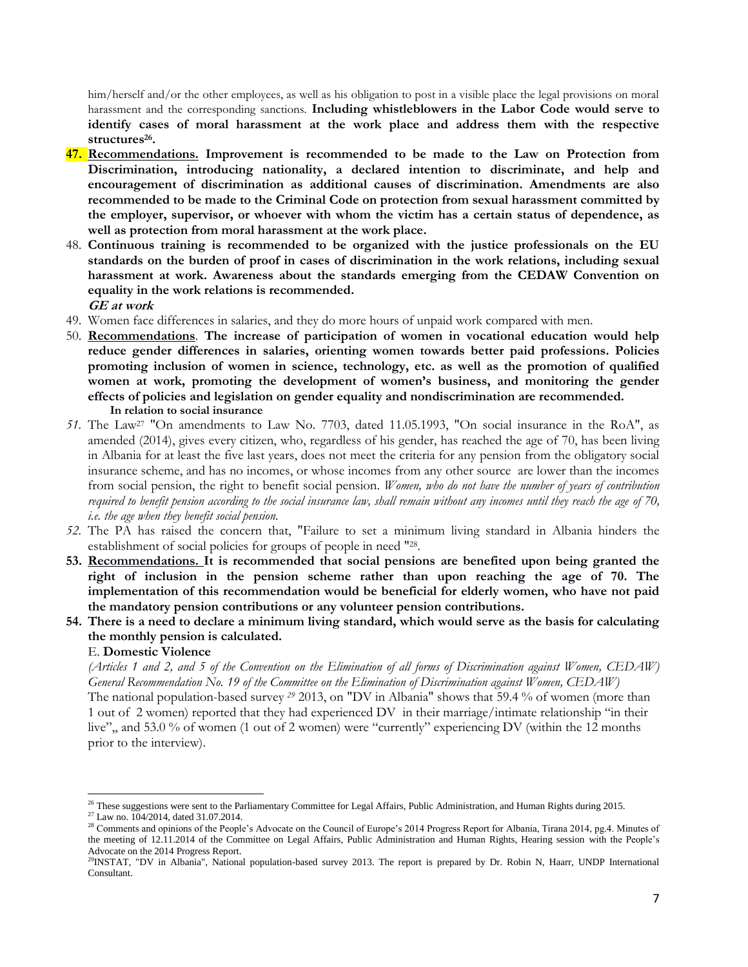him/herself and/or the other employees, as well as his obligation to post in a visible place the legal provisions on moral harassment and the corresponding sanctions. **Including whistleblowers in the Labor Code would serve to identify cases of moral harassment at the work place and address them with the respective structures<sup>26</sup> .**

- **47. Recommendations. Improvement is recommended to be made to the Law on Protection from Discrimination, introducing nationality, a declared intention to discriminate, and help and encouragement of discrimination as additional causes of discrimination. Amendments are also recommended to be made to the Criminal Code on protection from sexual harassment committed by the employer, supervisor, or whoever with whom the victim has a certain status of dependence, as well as protection from moral harassment at the work place.**
- 48. **Continuous training is recommended to be organized with the justice professionals on the EU standards on the burden of proof in cases of discrimination in the work relations, including sexual harassment at work. Awareness about the standards emerging from the CEDAW Convention on equality in the work relations is recommended. GE at work**
- 49. Women face differences in salaries, and they do more hours of unpaid work compared with men.
- 50. **Recommendations**. **The increase of participation of women in vocational education would help reduce gender differences in salaries, orienting women towards better paid professions. Policies promoting inclusion of women in science, technology, etc. as well as the promotion of qualified women at work, promoting the development of women's business, and monitoring the gender effects of policies and legislation on gender equality and nondiscrimination are recommended. In relation to social insurance**
- *51.* The Law<sup>27</sup> "On amendments to Law No. 7703, dated 11.05.1993, "On social insurance in the RoA", as amended (2014), gives every citizen, who, regardless of his gender, has reached the age of 70, has been living in Albania for at least the five last years, does not meet the criteria for any pension from the obligatory social insurance scheme, and has no incomes, or whose incomes from any other source are lower than the incomes from social pension, the right to benefit social pension. *Women, who do not have the number of years of contribution required to benefit pension according to the social insurance law, shall remain without any incomes until they reach the age of 70, i.e. the age when they benefit social pension.*
- *52.* The PA has raised the concern that, "Failure to set a minimum living standard in Albania hinders the establishment of social policies for groups of people in need "28.
- **53. Recommendations. It is recommended that social pensions are benefited upon being granted the right of inclusion in the pension scheme rather than upon reaching the age of 70. The implementation of this recommendation would be beneficial for elderly women, who have not paid the mandatory pension contributions or any volunteer pension contributions.**
- **54. There is a need to declare a minimum living standard, which would serve as the basis for calculating the monthly pension is calculated.**

# E. **Domestic Violence**

*(Articles 1 and 2, and 5 of the Convention on the Elimination of all forms of Discrimination against Women, CEDAW) General Recommendation No. 19 of the Committee on the Elimination of Discrimination against Women, CEDAW)* The national population-based survey *<sup>29</sup>* 2013, on "DV in Albania" shows that 59.4 % of women (more than 1 out of 2 women) reported that they had experienced DV in their marriage/intimate relationship "in their live",, and 53.0 % of women (1 out of 2 women) were "currently" experiencing DV (within the 12 months prior to the interview).

 $\overline{\phantom{a}}$ 

 $^{26}$  These suggestions were sent to the Parliamentary Committee for Legal Affairs, Public Administration, and Human Rights during 2015.

<sup>&</sup>lt;sup>27</sup> Law no. 104/2014, dated 31.07.2014.

<sup>&</sup>lt;sup>28</sup> Comments and opinions of the People's Advocate on the Council of Europe's 2014 Progress Report for Albania, Tirana 2014, pg.4. Minutes of the meeting of 12.11.2014 of the Committee on Legal Affairs, Public Administration and Human Rights, Hearing session with the People's Advocate on the 2014 Progress Report.

<sup>&</sup>lt;sup>29</sup>INSTAT, "DV in Albania", National population-based survey 2013. The report is prepared by Dr. Robin N, Haarr, UNDP International Consultant.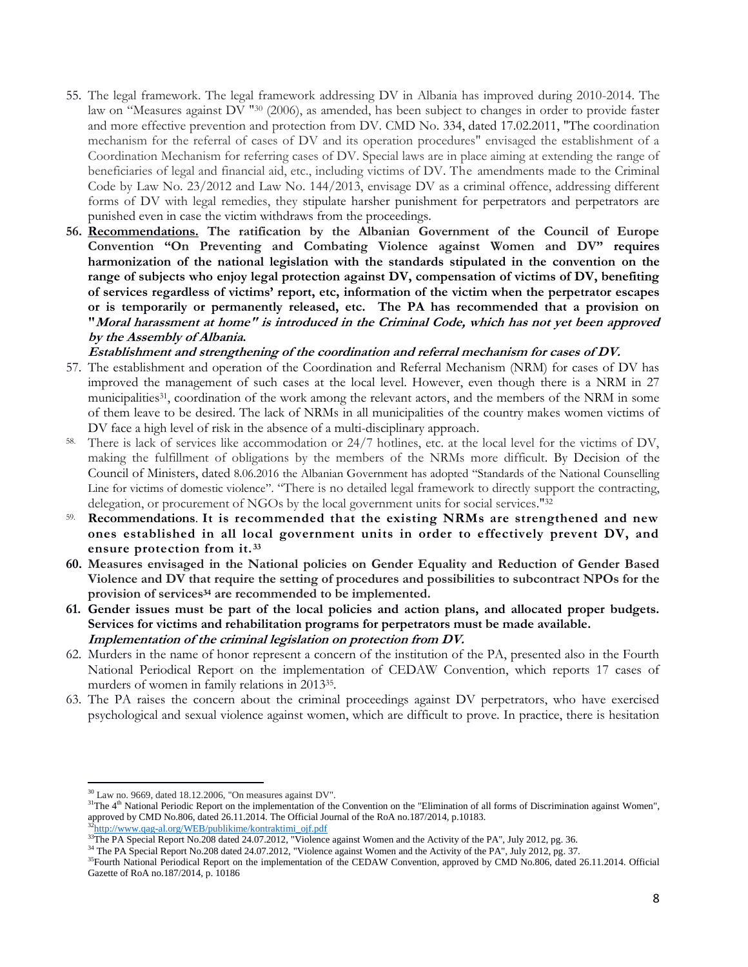- 55. The legal framework. The legal framework addressing DV in Albania has improved during 2010-2014. The law on "Measures against DV " <sup>30</sup> (2006), as amended, has been subject to changes in order to provide faster and more effective prevention and protection from DV. CMD No. 334, dated 17.02.2011, "The coordination mechanism for the referral of cases of DV and its operation procedures" envisaged the establishment of a Coordination Mechanism for referring cases of DV. Special laws are in place aiming at extending the range of beneficiaries of legal and financial aid, etc., including victims of DV. The amendments made to the Criminal Code by Law No. 23/2012 and Law No. 144/2013, envisage DV as a criminal offence, addressing different forms of DV with legal remedies, they stipulate harsher punishment for perpetrators and perpetrators are punished even in case the victim withdraws from the proceedings.
- **56. Recommendations. The ratification by the Albanian Government of the Council of Europe Convention "On Preventing and Combating Violence against Women and DV" requires harmonization of the national legislation with the standards stipulated in the convention on the range of subjects who enjoy legal protection against DV, compensation of victims of DV, benefiting of services regardless of victims' report, etc, information of the victim when the perpetrator escapes or is temporarily or permanently released, etc. The PA has recommended that a provision on "Moral harassment at home" is introduced in the Criminal Code, which has not yet been approved by the Assembly of Albania.**

**Establishment and strengthening of the coordination and referral mechanism for cases of DV.** 

- 57. The establishment and operation of the Coordination and Referral Mechanism (NRM) for cases of DV has improved the management of such cases at the local level. However, even though there is a NRM in 27 municipalities<sup>31</sup>, coordination of the work among the relevant actors, and the members of the NRM in some of them leave to be desired. The lack of NRMs in all municipalities of the country makes women victims of DV face a high level of risk in the absence of a multi-disciplinary approach.
- 58. There is lack of services like accommodation or 24/7 hotlines, etc. at the local level for the victims of DV, making the fulfillment of obligations by the members of the NRMs more difficult. By Decision of the Council of Ministers, dated 8.06.2016 the Albanian Government has adopted "Standards of the National Counselling Line for victims of domestic violence". "There is no detailed legal framework to directly support the contracting, delegation, or procurement of NGOs by the local government units for social services."<sup>32</sup>
- 59. **Recommendations**. **It is recommended that the existing NRMs are strengthened and new ones established in all local government units in order to effectively prevent DV, and ensure protection from it. <sup>33</sup>**
- **60. Measures envisaged in the National policies on Gender Equality and Reduction of Gender Based Violence and DV that require the setting of procedures and possibilities to subcontract NPOs for the provision of services<sup>34</sup> are recommended to be implemented.**
- **61. Gender issues must be part of the local policies and action plans, and allocated proper budgets. Services for victims and rehabilitation programs for perpetrators must be made available. Implementation of the criminal legislation on protection from DV.**
- 62. Murders in the name of honor represent a concern of the institution of the PA, presented also in the Fourth National Periodical Report on the implementation of CEDAW Convention, which reports 17 cases of murders of women in family relations in 2013<sup>35</sup> .
- 63. The PA raises the concern about the criminal proceedings against DV perpetrators, who have exercised psychological and sexual violence against women, which are difficult to prove. In practice, there is hesitation

<sup>32</sup>[http://www.qag-al.org/WEB/publikime/kontraktimi\\_ojf.pdf](http://www.qag-al.org/WEB/publikime/kontraktimi_ojf.pdf)

 $\overline{a}$  $30$  Law no. 9669, dated 18.12.2006, "On measures against DV".

 $31$ The  $4<sup>th</sup>$  National Periodic Report on the implementation of the Convention on the "Elimination of all forms of Discrimination against Women", approved by CMD No.806, dated 26.11.2014. The Official Journal of the RoA no.187/2014, p.10183.

<sup>&</sup>lt;sup>33</sup>The PA Special Report No.208 dated 24.07.2012, "Violence against Women and the Activity of the PA", July 2012, pg. 36.

<sup>&</sup>lt;sup>34</sup> The PA Special Report No.208 dated 24.07.2012, "Violence against Women and the Activity of the PA", July 2012, pg. 37.

<sup>&</sup>lt;sup>35</sup>Fourth National Periodical Report on the implementation of the CEDAW Convention, approved by CMD No.806, dated 26.11.2014. Official Gazette of RoA no.187/2014, p. 10186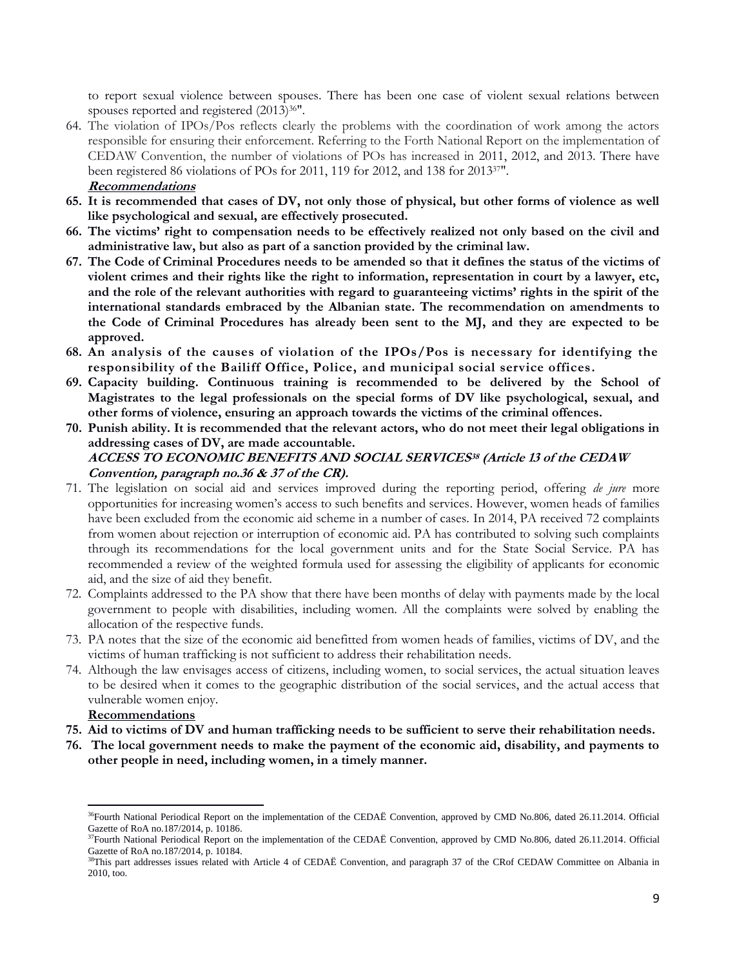to report sexual violence between spouses. There has been one case of violent sexual relations between spouses reported and registered (2013)36".

- 64. The violation of IPOs/Pos reflects clearly the problems with the coordination of work among the actors responsible for ensuring their enforcement. Referring to the Forth National Report on the implementation of CEDAW Convention, the number of violations of POs has increased in 2011, 2012, and 2013. There have been registered 86 violations of POs for 2011, 119 for 2012, and 138 for 201337". **Recommendations**
- **65. It is recommended that cases of DV, not only those of physical, but other forms of violence as well like psychological and sexual, are effectively prosecuted.**
- **66. The victims' right to compensation needs to be effectively realized not only based on the civil and administrative law, but also as part of a sanction provided by the criminal law.**
- **67. The Code of Criminal Procedures needs to be amended so that it defines the status of the victims of violent crimes and their rights like the right to information, representation in court by a lawyer, etc, and the role of the relevant authorities with regard to guaranteeing victims' rights in the spirit of the international standards embraced by the Albanian state. The recommendation on amendments to the Code of Criminal Procedures has already been sent to the MJ, and they are expected to be approved.**
- **68. An analysis of the causes of violation of the IPOs/Pos is necessary for identifying the responsibility of the Bailiff Office, Police, and municipal social service offices.**
- **69. Capacity building. Continuous training is recommended to be delivered by the School of Magistrates to the legal professionals on the special forms of DV like psychological, sexual, and other forms of violence, ensuring an approach towards the victims of the criminal offences.**
- **70. Punish ability. It is recommended that the relevant actors, who do not meet their legal obligations in addressing cases of DV, are made accountable.**

# **ACCESS TO ECONOMIC BENEFITS AND SOCIAL SERVICES<sup>38</sup> (Article 13 of the CEDAW Convention, paragraph no.36 & 37 of the CR).**

- 71. The legislation on social aid and services improved during the reporting period, offering *de jure* more opportunities for increasing women's access to such benefits and services. However, women heads of families have been excluded from the economic aid scheme in a number of cases. In 2014, PA received 72 complaints from women about rejection or interruption of economic aid. PA has contributed to solving such complaints through its recommendations for the local government units and for the State Social Service. PA has recommended a review of the weighted formula used for assessing the eligibility of applicants for economic aid, and the size of aid they benefit.
- 72. Complaints addressed to the PA show that there have been months of delay with payments made by the local government to people with disabilities, including women. All the complaints were solved by enabling the allocation of the respective funds.
- 73. PA notes that the size of the economic aid benefitted from women heads of families, victims of DV, and the victims of human trafficking is not sufficient to address their rehabilitation needs.
- 74. Although the law envisages access of citizens, including women, to social services, the actual situation leaves to be desired when it comes to the geographic distribution of the social services, and the actual access that vulnerable women enjoy.

**Recommendations**

 $\overline{a}$ 

- **75. Aid to victims of DV and human trafficking needs to be sufficient to serve their rehabilitation needs.**
- **76. The local government needs to make the payment of the economic aid, disability, and payments to other people in need, including women, in a timely manner.**

<sup>&</sup>lt;sup>36</sup>Fourth National Periodical Report on the implementation of the CEDAË Convention, approved by CMD No.806, dated 26.11.2014. Official Gazette of RoA no.187/2014, p. 10186.

<sup>&</sup>lt;sup>37</sup>Fourth National Periodical Report on the implementation of the CEDAË Convention, approved by CMD No.806, dated 26.11.2014. Official Gazette of RoA no.187/2014, p. 10184.

<sup>&</sup>lt;sup>38</sup>This part addresses issues related with Article 4 of CEDAË Convention, and paragraph 37 of the CRof CEDAW Committee on Albania in 2010, too.